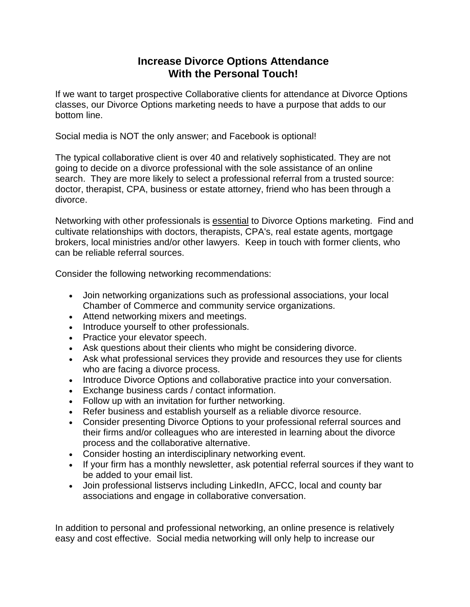## **Increase Divorce Options Attendance With the Personal Touch!**

If we want to target prospective Collaborative clients for attendance at Divorce Options classes, our Divorce Options marketing needs to have a purpose that adds to our bottom line.

Social media is NOT the only answer; and Facebook is optional!

The typical collaborative client is over 40 and relatively sophisticated. They are not going to decide on a divorce professional with the sole assistance of an online search. They are more likely to select a professional referral from a trusted source: doctor, therapist, CPA, business or estate attorney, friend who has been through a divorce.

Networking with other professionals is essential to Divorce Options marketing. Find and cultivate relationships with doctors, therapists, CPA's, real estate agents, mortgage brokers, local ministries and/or other lawyers. Keep in touch with former clients, who can be reliable referral sources.

Consider the following networking recommendations:

- Join networking organizations such as professional associations, your local Chamber of Commerce and community service organizations.
- Attend networking mixers and meetings.
- Introduce yourself to other professionals.
- Practice your elevator speech.
- Ask questions about their clients who might be considering divorce.
- Ask what professional services they provide and resources they use for clients who are facing a divorce process.
- Introduce Divorce Options and collaborative practice into your conversation.
- Exchange business cards / contact information.
- Follow up with an invitation for further networking.
- Refer business and establish yourself as a reliable divorce resource.
- Consider presenting Divorce Options to your professional referral sources and their firms and/or colleagues who are interested in learning about the divorce process and the collaborative alternative.
- Consider hosting an interdisciplinary networking event.
- If your firm has a monthly newsletter, ask potential referral sources if they want to be added to your email list.
- Join professional listservs including LinkedIn, AFCC, local and county bar associations and engage in collaborative conversation.

In addition to personal and professional networking, an online presence is relatively easy and cost effective. Social media networking will only help to increase our